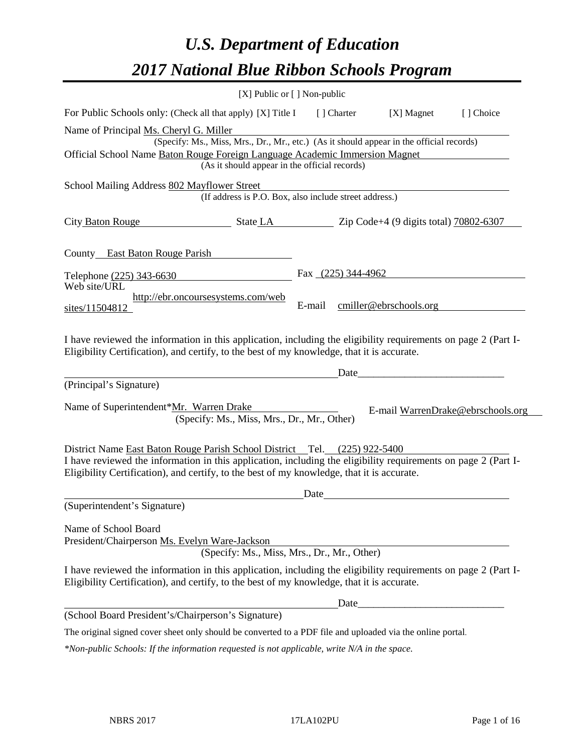# *U.S. Department of Education 2017 National Blue Ribbon Schools Program*

|                                                                                                                                                                                                              | [X] Public or [] Non-public                                                              |                                                 |                      |                        |                                   |
|--------------------------------------------------------------------------------------------------------------------------------------------------------------------------------------------------------------|------------------------------------------------------------------------------------------|-------------------------------------------------|----------------------|------------------------|-----------------------------------|
| For Public Schools only: (Check all that apply) [X] Title I                                                                                                                                                  |                                                                                          |                                                 | [] Charter           | [X] Magnet             | [] Choice                         |
| Name of Principal Ms. Cheryl G. Miller                                                                                                                                                                       |                                                                                          |                                                 |                      |                        |                                   |
|                                                                                                                                                                                                              | (Specify: Ms., Miss, Mrs., Dr., Mr., etc.) (As it should appear in the official records) |                                                 |                      |                        |                                   |
| Official School Name Baton Rouge Foreign Language Academic Immersion Magnet                                                                                                                                  |                                                                                          |                                                 |                      |                        |                                   |
|                                                                                                                                                                                                              | (As it should appear in the official records)                                            |                                                 |                      |                        |                                   |
| School Mailing Address 802 Mayflower Street                                                                                                                                                                  |                                                                                          |                                                 |                      |                        |                                   |
|                                                                                                                                                                                                              | (If address is P.O. Box, also include street address.)                                   |                                                 |                      |                        |                                   |
| City Baton Rouge                                                                                                                                                                                             |                                                                                          | State LA Zip Code+4 (9 digits total) 70802-6307 |                      |                        |                                   |
| County East Baton Rouge Parish                                                                                                                                                                               |                                                                                          |                                                 |                      |                        |                                   |
| Telephone (225) 343-6630                                                                                                                                                                                     |                                                                                          |                                                 | Fax $(225)$ 344-4962 |                        |                                   |
| Web site/URL                                                                                                                                                                                                 |                                                                                          |                                                 |                      |                        |                                   |
| sites/11504812                                                                                                                                                                                               | http://ebr.oncoursesystems.com/web                                                       | E-mail                                          |                      | cmiller@ebrschools.org |                                   |
| I have reviewed the information in this application, including the eligibility requirements on page 2 (Part I-<br>Eligibility Certification), and certify, to the best of my knowledge, that it is accurate. |                                                                                          |                                                 | Date_                |                        |                                   |
| (Principal's Signature)                                                                                                                                                                                      |                                                                                          |                                                 |                      |                        |                                   |
| Name of Superintendent*Mr. Warren Drake                                                                                                                                                                      | (Specify: Ms., Miss, Mrs., Dr., Mr., Other)                                              |                                                 |                      |                        | E-mail WarrenDrake@ebrschools.org |
| District Name East Baton Rouge Parish School District Tel. (225) 922-5400                                                                                                                                    |                                                                                          |                                                 |                      |                        |                                   |
| I have reviewed the information in this application, including the eligibility requirements on page 2 (Part I-<br>Eligibility Certification), and certify, to the best of my knowledge, that it is accurate. |                                                                                          |                                                 |                      |                        |                                   |
|                                                                                                                                                                                                              |                                                                                          | Date                                            |                      |                        |                                   |
| (Superintendent's Signature)                                                                                                                                                                                 |                                                                                          |                                                 |                      |                        |                                   |
| Name of School Board                                                                                                                                                                                         |                                                                                          |                                                 |                      |                        |                                   |
| President/Chairperson Ms. Evelyn Ware-Jackson                                                                                                                                                                |                                                                                          |                                                 |                      |                        |                                   |
|                                                                                                                                                                                                              | (Specify: Ms., Miss, Mrs., Dr., Mr., Other)                                              |                                                 |                      |                        |                                   |
| I have reviewed the information in this application, including the eligibility requirements on page 2 (Part I-<br>Eligibility Certification), and certify, to the best of my knowledge, that it is accurate. |                                                                                          |                                                 |                      |                        |                                   |
|                                                                                                                                                                                                              |                                                                                          |                                                 | Date                 |                        |                                   |
| (School Board President's/Chairperson's Signature)                                                                                                                                                           |                                                                                          |                                                 |                      |                        |                                   |
| The original signed cover sheet only should be converted to a PDF file and uploaded via the online portal.                                                                                                   |                                                                                          |                                                 |                      |                        |                                   |
| *Non-public Schools: If the information requested is not applicable, write N/A in the space.                                                                                                                 |                                                                                          |                                                 |                      |                        |                                   |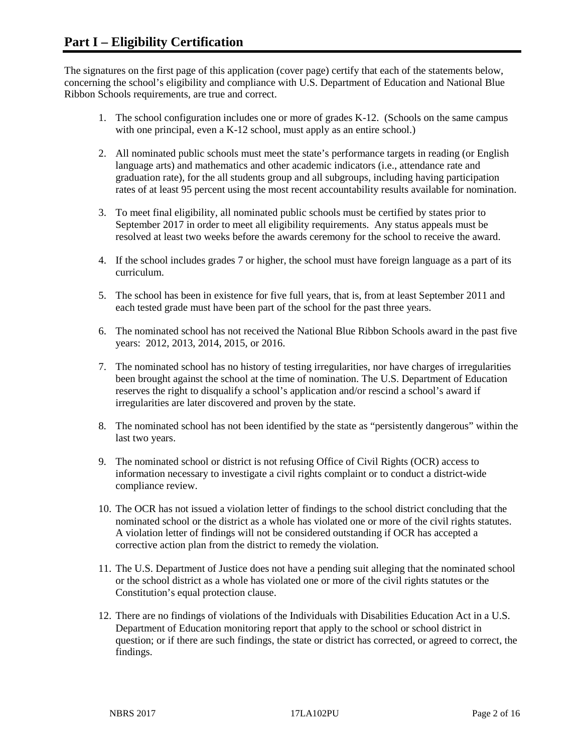The signatures on the first page of this application (cover page) certify that each of the statements below, concerning the school's eligibility and compliance with U.S. Department of Education and National Blue Ribbon Schools requirements, are true and correct.

- 1. The school configuration includes one or more of grades K-12. (Schools on the same campus with one principal, even a K-12 school, must apply as an entire school.)
- 2. All nominated public schools must meet the state's performance targets in reading (or English language arts) and mathematics and other academic indicators (i.e., attendance rate and graduation rate), for the all students group and all subgroups, including having participation rates of at least 95 percent using the most recent accountability results available for nomination.
- 3. To meet final eligibility, all nominated public schools must be certified by states prior to September 2017 in order to meet all eligibility requirements. Any status appeals must be resolved at least two weeks before the awards ceremony for the school to receive the award.
- 4. If the school includes grades 7 or higher, the school must have foreign language as a part of its curriculum.
- 5. The school has been in existence for five full years, that is, from at least September 2011 and each tested grade must have been part of the school for the past three years.
- 6. The nominated school has not received the National Blue Ribbon Schools award in the past five years: 2012, 2013, 2014, 2015, or 2016.
- 7. The nominated school has no history of testing irregularities, nor have charges of irregularities been brought against the school at the time of nomination. The U.S. Department of Education reserves the right to disqualify a school's application and/or rescind a school's award if irregularities are later discovered and proven by the state.
- 8. The nominated school has not been identified by the state as "persistently dangerous" within the last two years.
- 9. The nominated school or district is not refusing Office of Civil Rights (OCR) access to information necessary to investigate a civil rights complaint or to conduct a district-wide compliance review.
- 10. The OCR has not issued a violation letter of findings to the school district concluding that the nominated school or the district as a whole has violated one or more of the civil rights statutes. A violation letter of findings will not be considered outstanding if OCR has accepted a corrective action plan from the district to remedy the violation.
- 11. The U.S. Department of Justice does not have a pending suit alleging that the nominated school or the school district as a whole has violated one or more of the civil rights statutes or the Constitution's equal protection clause.
- 12. There are no findings of violations of the Individuals with Disabilities Education Act in a U.S. Department of Education monitoring report that apply to the school or school district in question; or if there are such findings, the state or district has corrected, or agreed to correct, the findings.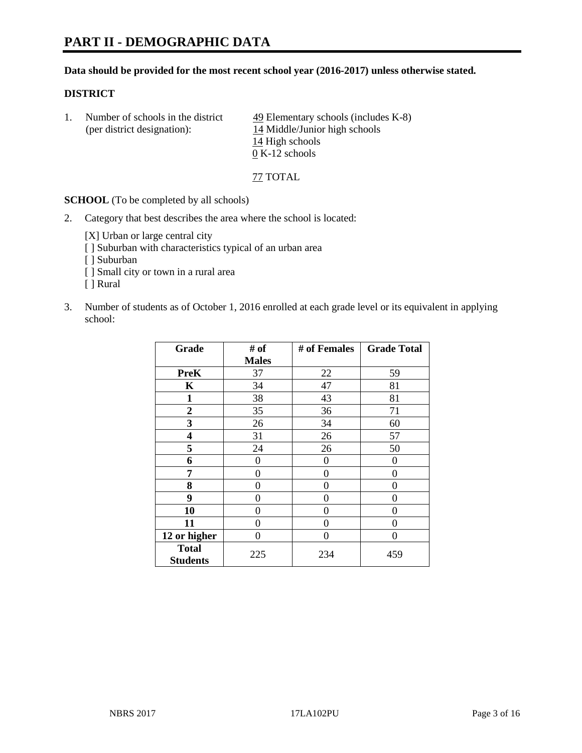# **PART II - DEMOGRAPHIC DATA**

#### **Data should be provided for the most recent school year (2016-2017) unless otherwise stated.**

#### **DISTRICT**

1. Number of schools in the district  $\frac{49}{9}$  Elementary schools (includes K-8) (per district designation): 14 Middle/Junior high schools 14 High schools 0 K-12 schools

77 TOTAL

**SCHOOL** (To be completed by all schools)

2. Category that best describes the area where the school is located:

[X] Urban or large central city [ ] Suburban with characteristics typical of an urban area

- [ ] Suburban
- [ ] Small city or town in a rural area
- [ ] Rural
- 3. Number of students as of October 1, 2016 enrolled at each grade level or its equivalent in applying school:

| Grade                           | # of         | # of Females | <b>Grade Total</b> |
|---------------------------------|--------------|--------------|--------------------|
|                                 | <b>Males</b> |              |                    |
| <b>PreK</b>                     | 37           | 22           | 59                 |
| $\mathbf K$                     | 34           | 47           | 81                 |
| $\mathbf{1}$                    | 38           | 43           | 81                 |
| $\overline{2}$                  | 35           | 36           | 71                 |
| 3                               | 26           | 34           | 60                 |
| 4                               | 31           | 26           | 57                 |
| 5                               | 24           | 26           | 50                 |
| 6                               | $\theta$     | $\theta$     | 0                  |
| 7                               | 0            | 0            | 0                  |
| 8                               | $\theta$     | $\theta$     | 0                  |
| 9                               | 0            | 0            | 0                  |
| 10                              | 0            | 0            | 0                  |
| 11                              | 0            | 0            | 0                  |
| 12 or higher                    | 0            | 0            | 0                  |
| <b>Total</b><br><b>Students</b> | 225          | 234          | 459                |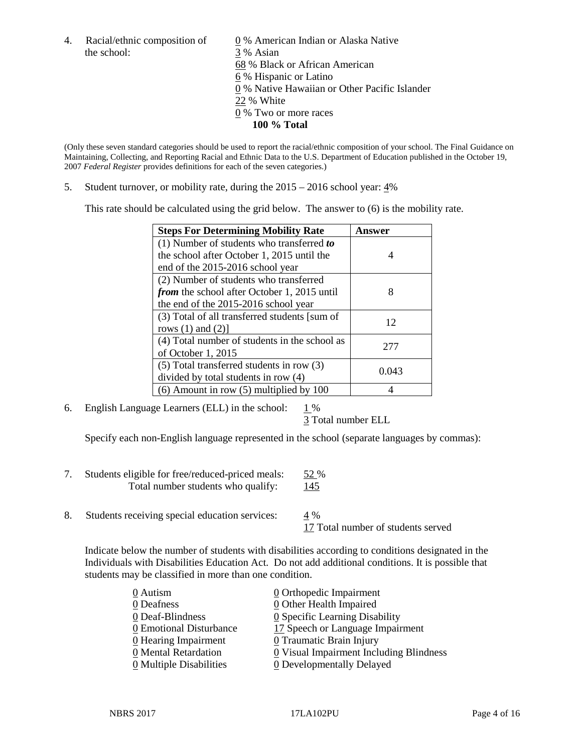the school: 3 % Asian

4. Racial/ethnic composition of  $\qquad 0 \%$  American Indian or Alaska Native 68 % Black or African American 6 % Hispanic or Latino 0 % Native Hawaiian or Other Pacific Islander 22 % White 0 % Two or more races **100 % Total**

(Only these seven standard categories should be used to report the racial/ethnic composition of your school. The Final Guidance on Maintaining, Collecting, and Reporting Racial and Ethnic Data to the U.S. Department of Education published in the October 19, 2007 *Federal Register* provides definitions for each of the seven categories.)

5. Student turnover, or mobility rate, during the 2015 – 2016 school year: 4%

This rate should be calculated using the grid below. The answer to (6) is the mobility rate.

| <b>Steps For Determining Mobility Rate</b>         | Answer |  |
|----------------------------------------------------|--------|--|
| (1) Number of students who transferred to          |        |  |
| the school after October 1, 2015 until the         | 4      |  |
| end of the 2015-2016 school year                   |        |  |
| (2) Number of students who transferred             |        |  |
| <i>from</i> the school after October 1, 2015 until | 8      |  |
| the end of the 2015-2016 school year               |        |  |
| (3) Total of all transferred students [sum of      | 12     |  |
| rows $(1)$ and $(2)$ ]                             |        |  |
| (4) Total number of students in the school as      | 277    |  |
| of October 1, 2015                                 |        |  |
| (5) Total transferred students in row (3)          | 0.043  |  |
| divided by total students in row (4)               |        |  |
| $(6)$ Amount in row $(5)$ multiplied by 100        |        |  |

6. English Language Learners (ELL) in the school:  $1\%$ 

3 Total number ELL

Specify each non-English language represented in the school (separate languages by commas):

- 7. Students eligible for free/reduced-priced meals: 52 % Total number students who qualify: 145
- 8. Students receiving special education services: 4 %

17 Total number of students served

Indicate below the number of students with disabilities according to conditions designated in the Individuals with Disabilities Education Act. Do not add additional conditions. It is possible that students may be classified in more than one condition.

| 0 Autism                              | $\underline{0}$ Orthopedic Impairment   |
|---------------------------------------|-----------------------------------------|
| 0 Deafness                            | <b>0</b> Other Health Impaired          |
| 0 Deaf-Blindness                      | 0 Specific Learning Disability          |
| 0 Emotional Disturbance               | 17 Speech or Language Impairment        |
| $\underline{0}$ Hearing Impairment    | 0 Traumatic Brain Injury                |
| 0 Mental Retardation                  | 0 Visual Impairment Including Blindness |
| $\underline{0}$ Multiple Disabilities | <b>0</b> Developmentally Delayed        |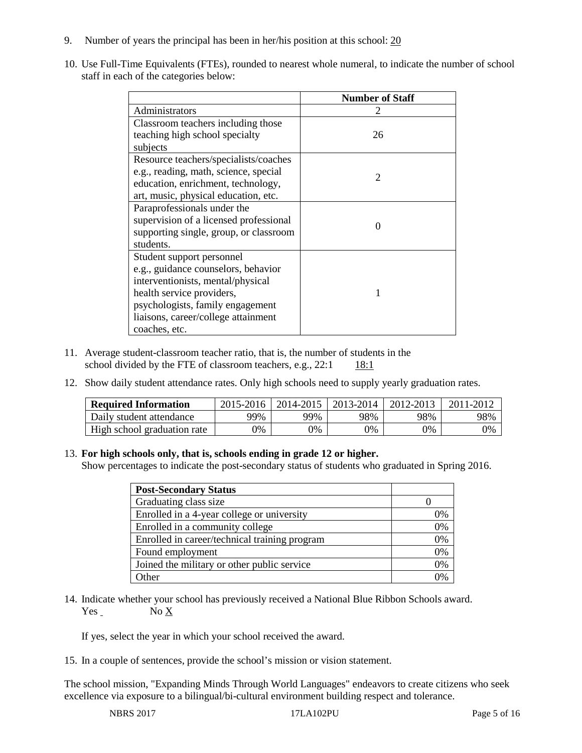- 9. Number of years the principal has been in her/his position at this school: 20
- 10. Use Full-Time Equivalents (FTEs), rounded to nearest whole numeral, to indicate the number of school staff in each of the categories below:

|                                        | <b>Number of Staff</b> |  |  |
|----------------------------------------|------------------------|--|--|
| Administrators                         |                        |  |  |
| Classroom teachers including those     |                        |  |  |
| teaching high school specialty         | 26                     |  |  |
| subjects                               |                        |  |  |
| Resource teachers/specialists/coaches  |                        |  |  |
| e.g., reading, math, science, special  | $\overline{c}$         |  |  |
| education, enrichment, technology,     |                        |  |  |
| art, music, physical education, etc.   |                        |  |  |
| Paraprofessionals under the            |                        |  |  |
| supervision of a licensed professional | $\Omega$               |  |  |
| supporting single, group, or classroom |                        |  |  |
| students.                              |                        |  |  |
| Student support personnel              |                        |  |  |
| e.g., guidance counselors, behavior    |                        |  |  |
| interventionists, mental/physical      |                        |  |  |
| health service providers,              |                        |  |  |
| psychologists, family engagement       |                        |  |  |
| liaisons, career/college attainment    |                        |  |  |
| coaches, etc.                          |                        |  |  |

- 11. Average student-classroom teacher ratio, that is, the number of students in the school divided by the FTE of classroom teachers, e.g.,  $22:1$  18:1
- 12. Show daily student attendance rates. Only high schools need to supply yearly graduation rates.

| <b>Required Information</b> | 2015-2016 | 2014-2015 | 2013-2014 | 2012-2013 |     |
|-----------------------------|-----------|-----------|-----------|-----------|-----|
| Daily student attendance    | 99%       | 99%       | 98%       | 98%       | 98% |
| High school graduation rate | 0%        | 0%        | 0%        | 9%        | 0%  |

#### 13. **For high schools only, that is, schools ending in grade 12 or higher.**

Show percentages to indicate the post-secondary status of students who graduated in Spring 2016.

| <b>Post-Secondary Status</b>                  |    |
|-----------------------------------------------|----|
| Graduating class size                         |    |
| Enrolled in a 4-year college or university    | 0% |
| Enrolled in a community college               | 0% |
| Enrolled in career/technical training program | 0% |
| Found employment                              | 0% |
| Joined the military or other public service   | 0% |
| Other                                         |    |

14. Indicate whether your school has previously received a National Blue Ribbon Schools award. Yes No X

If yes, select the year in which your school received the award.

15. In a couple of sentences, provide the school's mission or vision statement.

The school mission, "Expanding Minds Through World Languages" endeavors to create citizens who seek excellence via exposure to a bilingual/bi-cultural environment building respect and tolerance.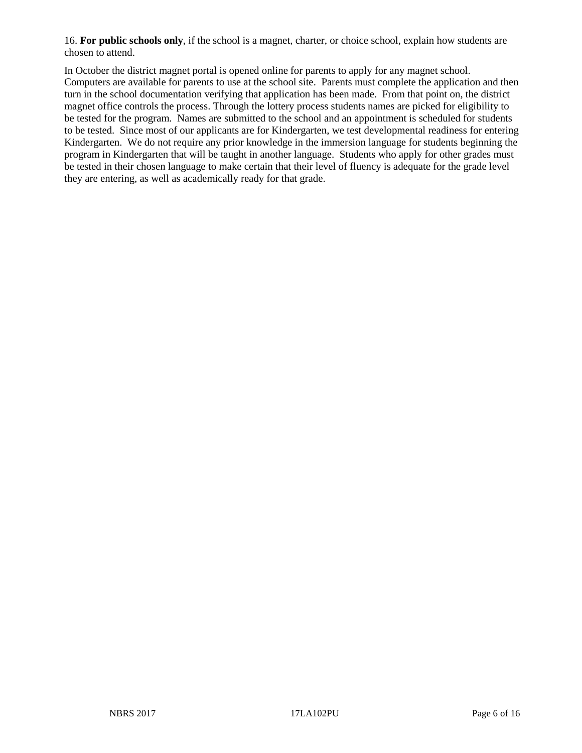16. **For public schools only**, if the school is a magnet, charter, or choice school, explain how students are chosen to attend.

In October the district magnet portal is opened online for parents to apply for any magnet school. Computers are available for parents to use at the school site. Parents must complete the application and then turn in the school documentation verifying that application has been made. From that point on, the district magnet office controls the process. Through the lottery process students names are picked for eligibility to be tested for the program. Names are submitted to the school and an appointment is scheduled for students to be tested. Since most of our applicants are for Kindergarten, we test developmental readiness for entering Kindergarten. We do not require any prior knowledge in the immersion language for students beginning the program in Kindergarten that will be taught in another language. Students who apply for other grades must be tested in their chosen language to make certain that their level of fluency is adequate for the grade level they are entering, as well as academically ready for that grade.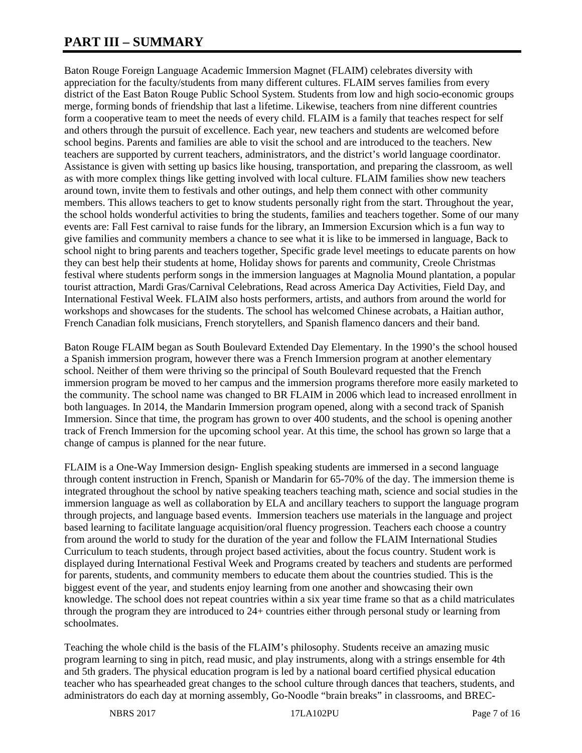# **PART III – SUMMARY**

Baton Rouge Foreign Language Academic Immersion Magnet (FLAIM) celebrates diversity with appreciation for the faculty/students from many different cultures. FLAIM serves families from every district of the East Baton Rouge Public School System. Students from low and high socio-economic groups merge, forming bonds of friendship that last a lifetime. Likewise, teachers from nine different countries form a cooperative team to meet the needs of every child. FLAIM is a family that teaches respect for self and others through the pursuit of excellence. Each year, new teachers and students are welcomed before school begins. Parents and families are able to visit the school and are introduced to the teachers. New teachers are supported by current teachers, administrators, and the district's world language coordinator. Assistance is given with setting up basics like housing, transportation, and preparing the classroom, as well as with more complex things like getting involved with local culture. FLAIM families show new teachers around town, invite them to festivals and other outings, and help them connect with other community members. This allows teachers to get to know students personally right from the start. Throughout the year, the school holds wonderful activities to bring the students, families and teachers together. Some of our many events are: Fall Fest carnival to raise funds for the library, an Immersion Excursion which is a fun way to give families and community members a chance to see what it is like to be immersed in language, Back to school night to bring parents and teachers together, Specific grade level meetings to educate parents on how they can best help their students at home, Holiday shows for parents and community, Creole Christmas festival where students perform songs in the immersion languages at Magnolia Mound plantation, a popular tourist attraction, Mardi Gras/Carnival Celebrations, Read across America Day Activities, Field Day, and International Festival Week. FLAIM also hosts performers, artists, and authors from around the world for workshops and showcases for the students. The school has welcomed Chinese acrobats, a Haitian author, French Canadian folk musicians, French storytellers, and Spanish flamenco dancers and their band.

Baton Rouge FLAIM began as South Boulevard Extended Day Elementary. In the 1990's the school housed a Spanish immersion program, however there was a French Immersion program at another elementary school. Neither of them were thriving so the principal of South Boulevard requested that the French immersion program be moved to her campus and the immersion programs therefore more easily marketed to the community. The school name was changed to BR FLAIM in 2006 which lead to increased enrollment in both languages. In 2014, the Mandarin Immersion program opened, along with a second track of Spanish Immersion. Since that time, the program has grown to over 400 students, and the school is opening another track of French Immersion for the upcoming school year. At this time, the school has grown so large that a change of campus is planned for the near future.

FLAIM is a One-Way Immersion design- English speaking students are immersed in a second language through content instruction in French, Spanish or Mandarin for 65-70% of the day. The immersion theme is integrated throughout the school by native speaking teachers teaching math, science and social studies in the immersion language as well as collaboration by ELA and ancillary teachers to support the language program through projects, and language based events. Immersion teachers use materials in the language and project based learning to facilitate language acquisition/oral fluency progression. Teachers each choose a country from around the world to study for the duration of the year and follow the FLAIM International Studies Curriculum to teach students, through project based activities, about the focus country. Student work is displayed during International Festival Week and Programs created by teachers and students are performed for parents, students, and community members to educate them about the countries studied. This is the biggest event of the year, and students enjoy learning from one another and showcasing their own knowledge. The school does not repeat countries within a six year time frame so that as a child matriculates through the program they are introduced to 24+ countries either through personal study or learning from schoolmates.

Teaching the whole child is the basis of the FLAIM's philosophy. Students receive an amazing music program learning to sing in pitch, read music, and play instruments, along with a strings ensemble for 4th and 5th graders. The physical education program is led by a national board certified physical education teacher who has spearheaded great changes to the school culture through dances that teachers, students, and administrators do each day at morning assembly, Go-Noodle "brain breaks" in classrooms, and BREC-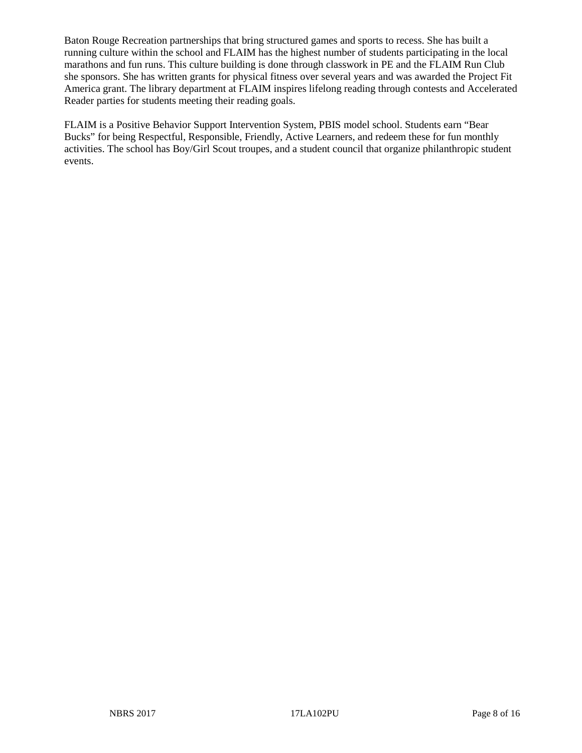Baton Rouge Recreation partnerships that bring structured games and sports to recess. She has built a running culture within the school and FLAIM has the highest number of students participating in the local marathons and fun runs. This culture building is done through classwork in PE and the FLAIM Run Club she sponsors. She has written grants for physical fitness over several years and was awarded the Project Fit America grant. The library department at FLAIM inspires lifelong reading through contests and Accelerated Reader parties for students meeting their reading goals.

FLAIM is a Positive Behavior Support Intervention System, PBIS model school. Students earn "Bear Bucks" for being Respectful, Responsible, Friendly, Active Learners, and redeem these for fun monthly activities. The school has Boy/Girl Scout troupes, and a student council that organize philanthropic student events.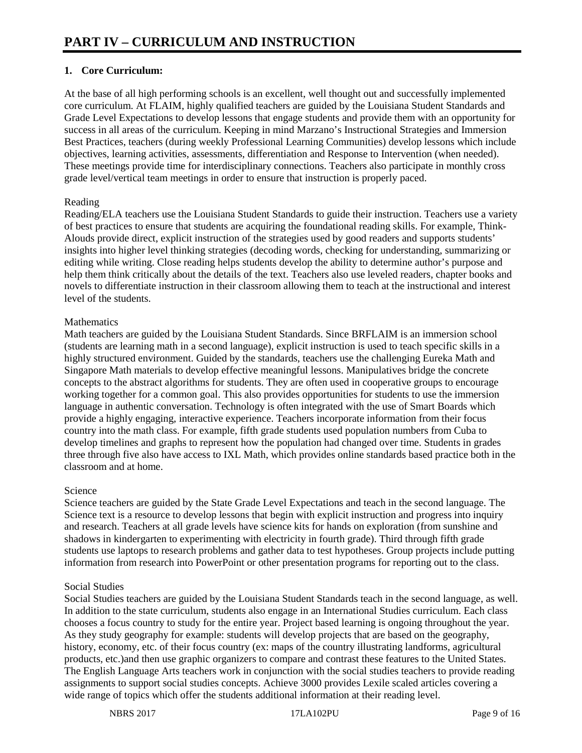# **1. Core Curriculum:**

At the base of all high performing schools is an excellent, well thought out and successfully implemented core curriculum. At FLAIM, highly qualified teachers are guided by the Louisiana Student Standards and Grade Level Expectations to develop lessons that engage students and provide them with an opportunity for success in all areas of the curriculum. Keeping in mind Marzano's Instructional Strategies and Immersion Best Practices, teachers (during weekly Professional Learning Communities) develop lessons which include objectives, learning activities, assessments, differentiation and Response to Intervention (when needed). These meetings provide time for interdisciplinary connections. Teachers also participate in monthly cross grade level/vertical team meetings in order to ensure that instruction is properly paced.

# Reading

Reading/ELA teachers use the Louisiana Student Standards to guide their instruction. Teachers use a variety of best practices to ensure that students are acquiring the foundational reading skills. For example, Think-Alouds provide direct, explicit instruction of the strategies used by good readers and supports students' insights into higher level thinking strategies (decoding words, checking for understanding, summarizing or editing while writing. Close reading helps students develop the ability to determine author's purpose and help them think critically about the details of the text. Teachers also use leveled readers, chapter books and novels to differentiate instruction in their classroom allowing them to teach at the instructional and interest level of the students.

# **Mathematics**

Math teachers are guided by the Louisiana Student Standards. Since BRFLAIM is an immersion school (students are learning math in a second language), explicit instruction is used to teach specific skills in a highly structured environment. Guided by the standards, teachers use the challenging Eureka Math and Singapore Math materials to develop effective meaningful lessons. Manipulatives bridge the concrete concepts to the abstract algorithms for students. They are often used in cooperative groups to encourage working together for a common goal. This also provides opportunities for students to use the immersion language in authentic conversation. Technology is often integrated with the use of Smart Boards which provide a highly engaging, interactive experience. Teachers incorporate information from their focus country into the math class. For example, fifth grade students used population numbers from Cuba to develop timelines and graphs to represent how the population had changed over time. Students in grades three through five also have access to IXL Math, which provides online standards based practice both in the classroom and at home.

#### Science

Science teachers are guided by the State Grade Level Expectations and teach in the second language. The Science text is a resource to develop lessons that begin with explicit instruction and progress into inquiry and research. Teachers at all grade levels have science kits for hands on exploration (from sunshine and shadows in kindergarten to experimenting with electricity in fourth grade). Third through fifth grade students use laptops to research problems and gather data to test hypotheses. Group projects include putting information from research into PowerPoint or other presentation programs for reporting out to the class.

#### Social Studies

Social Studies teachers are guided by the Louisiana Student Standards teach in the second language, as well. In addition to the state curriculum, students also engage in an International Studies curriculum. Each class chooses a focus country to study for the entire year. Project based learning is ongoing throughout the year. As they study geography for example: students will develop projects that are based on the geography, history, economy, etc. of their focus country (ex: maps of the country illustrating landforms, agricultural products, etc.)and then use graphic organizers to compare and contrast these features to the United States. The English Language Arts teachers work in conjunction with the social studies teachers to provide reading assignments to support social studies concepts. Achieve 3000 provides Lexile scaled articles covering a wide range of topics which offer the students additional information at their reading level.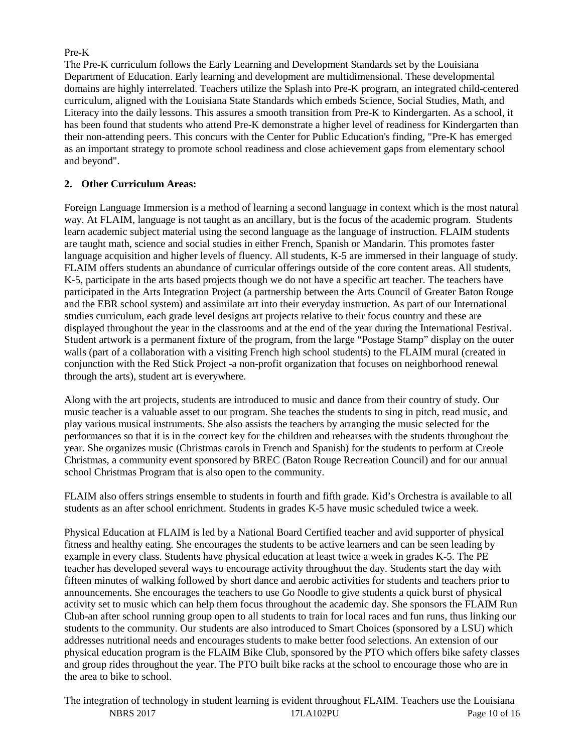# Pre-K

The Pre-K curriculum follows the Early Learning and Development Standards set by the Louisiana Department of Education. Early learning and development are multidimensional. These developmental domains are highly interrelated. Teachers utilize the Splash into Pre-K program, an integrated child-centered curriculum, aligned with the Louisiana State Standards which embeds Science, Social Studies, Math, and Literacy into the daily lessons. This assures a smooth transition from Pre-K to Kindergarten. As a school, it has been found that students who attend Pre-K demonstrate a higher level of readiness for Kindergarten than their non-attending peers. This concurs with the Center for Public Education's finding, "Pre-K has emerged as an important strategy to promote school readiness and close achievement gaps from elementary school and beyond".

# **2. Other Curriculum Areas:**

Foreign Language Immersion is a method of learning a second language in context which is the most natural way. At FLAIM, language is not taught as an ancillary, but is the focus of the academic program. Students learn academic subject material using the second language as the language of instruction. FLAIM students are taught math, science and social studies in either French, Spanish or Mandarin. This promotes faster language acquisition and higher levels of fluency. All students, K-5 are immersed in their language of study. FLAIM offers students an abundance of curricular offerings outside of the core content areas. All students, K-5, participate in the arts based projects though we do not have a specific art teacher. The teachers have participated in the Arts Integration Project (a partnership between the Arts Council of Greater Baton Rouge and the EBR school system) and assimilate art into their everyday instruction. As part of our International studies curriculum, each grade level designs art projects relative to their focus country and these are displayed throughout the year in the classrooms and at the end of the year during the International Festival. Student artwork is a permanent fixture of the program, from the large "Postage Stamp" display on the outer walls (part of a collaboration with a visiting French high school students) to the FLAIM mural (created in conjunction with the Red Stick Project -a non-profit organization that focuses on neighborhood renewal through the arts), student art is everywhere.

Along with the art projects, students are introduced to music and dance from their country of study. Our music teacher is a valuable asset to our program. She teaches the students to sing in pitch, read music, and play various musical instruments. She also assists the teachers by arranging the music selected for the performances so that it is in the correct key for the children and rehearses with the students throughout the year. She organizes music (Christmas carols in French and Spanish) for the students to perform at Creole Christmas, a community event sponsored by BREC (Baton Rouge Recreation Council) and for our annual school Christmas Program that is also open to the community.

FLAIM also offers strings ensemble to students in fourth and fifth grade. Kid's Orchestra is available to all students as an after school enrichment. Students in grades K-5 have music scheduled twice a week.

Physical Education at FLAIM is led by a National Board Certified teacher and avid supporter of physical fitness and healthy eating. She encourages the students to be active learners and can be seen leading by example in every class. Students have physical education at least twice a week in grades K-5. The PE teacher has developed several ways to encourage activity throughout the day. Students start the day with fifteen minutes of walking followed by short dance and aerobic activities for students and teachers prior to announcements. She encourages the teachers to use Go Noodle to give students a quick burst of physical activity set to music which can help them focus throughout the academic day. She sponsors the FLAIM Run Club-an after school running group open to all students to train for local races and fun runs, thus linking our students to the community. Our students are also introduced to Smart Choices (sponsored by a LSU) which addresses nutritional needs and encourages students to make better food selections. An extension of our physical education program is the FLAIM Bike Club, sponsored by the PTO which offers bike safety classes and group rides throughout the year. The PTO built bike racks at the school to encourage those who are in the area to bike to school.

NBRS 2017 17LA102PU Page 10 of 16 The integration of technology in student learning is evident throughout FLAIM. Teachers use the Louisiana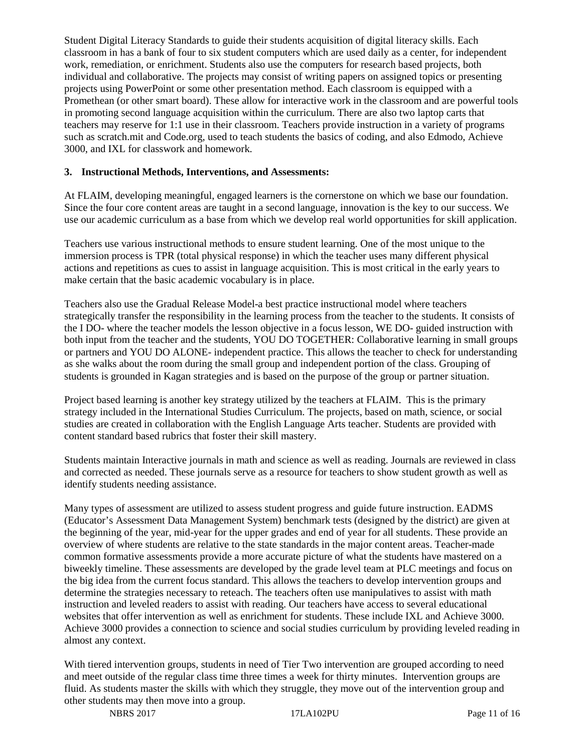Student Digital Literacy Standards to guide their students acquisition of digital literacy skills. Each classroom in has a bank of four to six student computers which are used daily as a center, for independent work, remediation, or enrichment. Students also use the computers for research based projects, both individual and collaborative. The projects may consist of writing papers on assigned topics or presenting projects using PowerPoint or some other presentation method. Each classroom is equipped with a Promethean (or other smart board). These allow for interactive work in the classroom and are powerful tools in promoting second language acquisition within the curriculum. There are also two laptop carts that teachers may reserve for 1:1 use in their classroom. Teachers provide instruction in a variety of programs such as scratch.mit and Code.org, used to teach students the basics of coding, and also Edmodo, Achieve 3000, and IXL for classwork and homework.

# **3. Instructional Methods, Interventions, and Assessments:**

At FLAIM, developing meaningful, engaged learners is the cornerstone on which we base our foundation. Since the four core content areas are taught in a second language, innovation is the key to our success. We use our academic curriculum as a base from which we develop real world opportunities for skill application.

Teachers use various instructional methods to ensure student learning. One of the most unique to the immersion process is TPR (total physical response) in which the teacher uses many different physical actions and repetitions as cues to assist in language acquisition. This is most critical in the early years to make certain that the basic academic vocabulary is in place.

Teachers also use the Gradual Release Model-a best practice instructional model where teachers strategically transfer the responsibility in the learning process from the teacher to the students. It consists of the I DO- where the teacher models the lesson objective in a focus lesson, WE DO- guided instruction with both input from the teacher and the students, YOU DO TOGETHER: Collaborative learning in small groups or partners and YOU DO ALONE- independent practice. This allows the teacher to check for understanding as she walks about the room during the small group and independent portion of the class. Grouping of students is grounded in Kagan strategies and is based on the purpose of the group or partner situation.

Project based learning is another key strategy utilized by the teachers at FLAIM. This is the primary strategy included in the International Studies Curriculum. The projects, based on math, science, or social studies are created in collaboration with the English Language Arts teacher. Students are provided with content standard based rubrics that foster their skill mastery.

Students maintain Interactive journals in math and science as well as reading. Journals are reviewed in class and corrected as needed. These journals serve as a resource for teachers to show student growth as well as identify students needing assistance.

Many types of assessment are utilized to assess student progress and guide future instruction. EADMS (Educator's Assessment Data Management System) benchmark tests (designed by the district) are given at the beginning of the year, mid-year for the upper grades and end of year for all students. These provide an overview of where students are relative to the state standards in the major content areas. Teacher-made common formative assessments provide a more accurate picture of what the students have mastered on a biweekly timeline. These assessments are developed by the grade level team at PLC meetings and focus on the big idea from the current focus standard. This allows the teachers to develop intervention groups and determine the strategies necessary to reteach. The teachers often use manipulatives to assist with math instruction and leveled readers to assist with reading. Our teachers have access to several educational websites that offer intervention as well as enrichment for students. These include IXL and Achieve 3000. Achieve 3000 provides a connection to science and social studies curriculum by providing leveled reading in almost any context.

With tiered intervention groups, students in need of Tier Two intervention are grouped according to need and meet outside of the regular class time three times a week for thirty minutes. Intervention groups are fluid. As students master the skills with which they struggle, they move out of the intervention group and other students may then move into a group.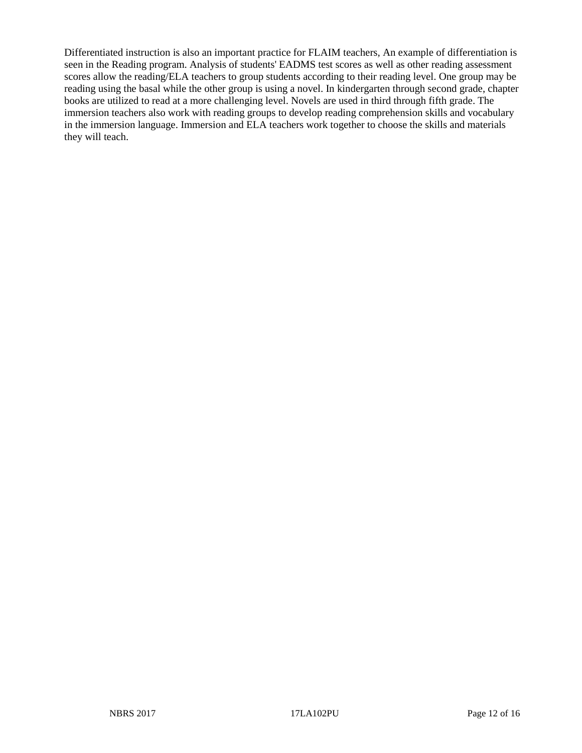Differentiated instruction is also an important practice for FLAIM teachers, An example of differentiation is seen in the Reading program. Analysis of students' EADMS test scores as well as other reading assessment scores allow the reading/ELA teachers to group students according to their reading level. One group may be reading using the basal while the other group is using a novel. In kindergarten through second grade, chapter books are utilized to read at a more challenging level. Novels are used in third through fifth grade. The immersion teachers also work with reading groups to develop reading comprehension skills and vocabulary in the immersion language. Immersion and ELA teachers work together to choose the skills and materials they will teach.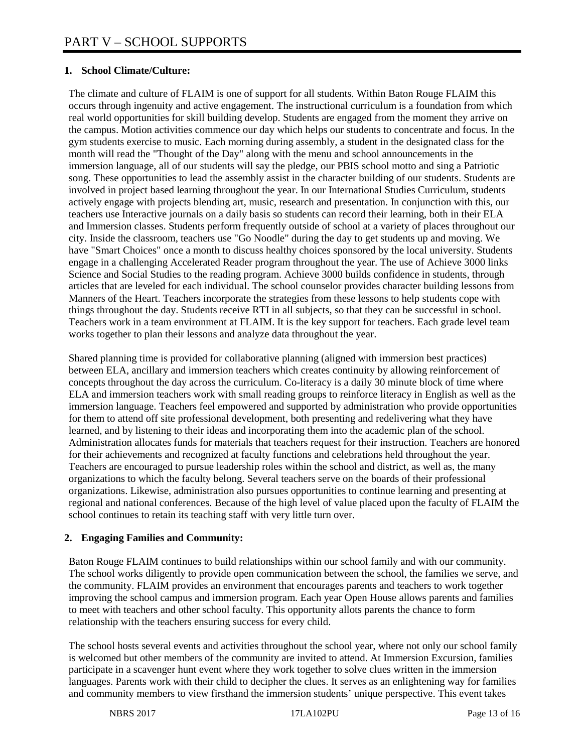# **1. School Climate/Culture:**

The climate and culture of FLAIM is one of support for all students. Within Baton Rouge FLAIM this occurs through ingenuity and active engagement. The instructional curriculum is a foundation from which real world opportunities for skill building develop. Students are engaged from the moment they arrive on the campus. Motion activities commence our day which helps our students to concentrate and focus. In the gym students exercise to music. Each morning during assembly, a student in the designated class for the month will read the "Thought of the Day" along with the menu and school announcements in the immersion language, all of our students will say the pledge, our PBIS school motto and sing a Patriotic song. These opportunities to lead the assembly assist in the character building of our students. Students are involved in project based learning throughout the year. In our International Studies Curriculum, students actively engage with projects blending art, music, research and presentation. In conjunction with this, our teachers use Interactive journals on a daily basis so students can record their learning, both in their ELA and Immersion classes. Students perform frequently outside of school at a variety of places throughout our city. Inside the classroom, teachers use "Go Noodle" during the day to get students up and moving. We have "Smart Choices" once a month to discuss healthy choices sponsored by the local university. Students engage in a challenging Accelerated Reader program throughout the year. The use of Achieve 3000 links Science and Social Studies to the reading program. Achieve 3000 builds confidence in students, through articles that are leveled for each individual. The school counselor provides character building lessons from Manners of the Heart. Teachers incorporate the strategies from these lessons to help students cope with things throughout the day. Students receive RTI in all subjects, so that they can be successful in school. Teachers work in a team environment at FLAIM. It is the key support for teachers. Each grade level team works together to plan their lessons and analyze data throughout the year.

Shared planning time is provided for collaborative planning (aligned with immersion best practices) between ELA, ancillary and immersion teachers which creates continuity by allowing reinforcement of concepts throughout the day across the curriculum. Co-literacy is a daily 30 minute block of time where ELA and immersion teachers work with small reading groups to reinforce literacy in English as well as the immersion language. Teachers feel empowered and supported by administration who provide opportunities for them to attend off site professional development, both presenting and redelivering what they have learned, and by listening to their ideas and incorporating them into the academic plan of the school. Administration allocates funds for materials that teachers request for their instruction. Teachers are honored for their achievements and recognized at faculty functions and celebrations held throughout the year. Teachers are encouraged to pursue leadership roles within the school and district, as well as, the many organizations to which the faculty belong. Several teachers serve on the boards of their professional organizations. Likewise, administration also pursues opportunities to continue learning and presenting at regional and national conferences. Because of the high level of value placed upon the faculty of FLAIM the school continues to retain its teaching staff with very little turn over.

#### **2. Engaging Families and Community:**

Baton Rouge FLAIM continues to build relationships within our school family and with our community. The school works diligently to provide open communication between the school, the families we serve, and the community. FLAIM provides an environment that encourages parents and teachers to work together improving the school campus and immersion program. Each year Open House allows parents and families to meet with teachers and other school faculty. This opportunity allots parents the chance to form relationship with the teachers ensuring success for every child.

The school hosts several events and activities throughout the school year, where not only our school family is welcomed but other members of the community are invited to attend. At Immersion Excursion, families participate in a scavenger hunt event where they work together to solve clues written in the immersion languages. Parents work with their child to decipher the clues. It serves as an enlightening way for families and community members to view firsthand the immersion students' unique perspective. This event takes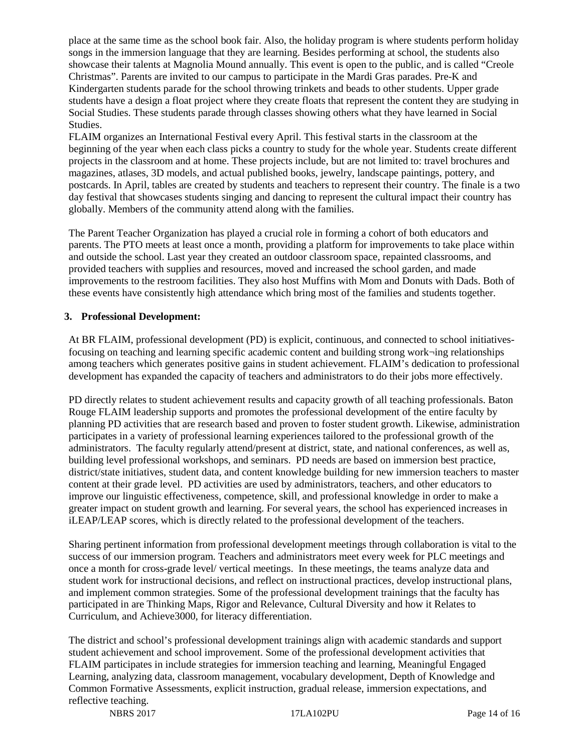place at the same time as the school book fair. Also, the holiday program is where students perform holiday songs in the immersion language that they are learning. Besides performing at school, the students also showcase their talents at Magnolia Mound annually. This event is open to the public, and is called "Creole Christmas". Parents are invited to our campus to participate in the Mardi Gras parades. Pre-K and Kindergarten students parade for the school throwing trinkets and beads to other students. Upper grade students have a design a float project where they create floats that represent the content they are studying in Social Studies. These students parade through classes showing others what they have learned in Social Studies.

FLAIM organizes an International Festival every April. This festival starts in the classroom at the beginning of the year when each class picks a country to study for the whole year. Students create different projects in the classroom and at home. These projects include, but are not limited to: travel brochures and magazines, atlases, 3D models, and actual published books, jewelry, landscape paintings, pottery, and postcards. In April, tables are created by students and teachers to represent their country. The finale is a two day festival that showcases students singing and dancing to represent the cultural impact their country has globally. Members of the community attend along with the families.

The Parent Teacher Organization has played a crucial role in forming a cohort of both educators and parents. The PTO meets at least once a month, providing a platform for improvements to take place within and outside the school. Last year they created an outdoor classroom space, repainted classrooms, and provided teachers with supplies and resources, moved and increased the school garden, and made improvements to the restroom facilities. They also host Muffins with Mom and Donuts with Dads. Both of these events have consistently high attendance which bring most of the families and students together.

# **3. Professional Development:**

At BR FLAIM, professional development (PD) is explicit, continuous, and connected to school initiativesfocusing on teaching and learning specific academic content and building strong work¬ing relationships among teachers which generates positive gains in student achievement. FLAIM's dedication to professional development has expanded the capacity of teachers and administrators to do their jobs more effectively.

PD directly relates to student achievement results and capacity growth of all teaching professionals. Baton Rouge FLAIM leadership supports and promotes the professional development of the entire faculty by planning PD activities that are research based and proven to foster student growth. Likewise, administration participates in a variety of professional learning experiences tailored to the professional growth of the administrators. The faculty regularly attend/present at district, state, and national conferences, as well as, building level professional workshops, and seminars. PD needs are based on immersion best practice, district/state initiatives, student data, and content knowledge building for new immersion teachers to master content at their grade level. PD activities are used by administrators, teachers, and other educators to improve our linguistic effectiveness, competence, skill, and professional knowledge in order to make a greater impact on student growth and learning. For several years, the school has experienced increases in iLEAP/LEAP scores, which is directly related to the professional development of the teachers.

Sharing pertinent information from professional development meetings through collaboration is vital to the success of our immersion program. Teachers and administrators meet every week for PLC meetings and once a month for cross-grade level/ vertical meetings. In these meetings, the teams analyze data and student work for instructional decisions, and reflect on instructional practices, develop instructional plans, and implement common strategies. Some of the professional development trainings that the faculty has participated in are Thinking Maps, Rigor and Relevance, Cultural Diversity and how it Relates to Curriculum, and Achieve3000, for literacy differentiation.

The district and school's professional development trainings align with academic standards and support student achievement and school improvement. Some of the professional development activities that FLAIM participates in include strategies for immersion teaching and learning, Meaningful Engaged Learning, analyzing data, classroom management, vocabulary development, Depth of Knowledge and Common Formative Assessments, explicit instruction, gradual release, immersion expectations, and reflective teaching.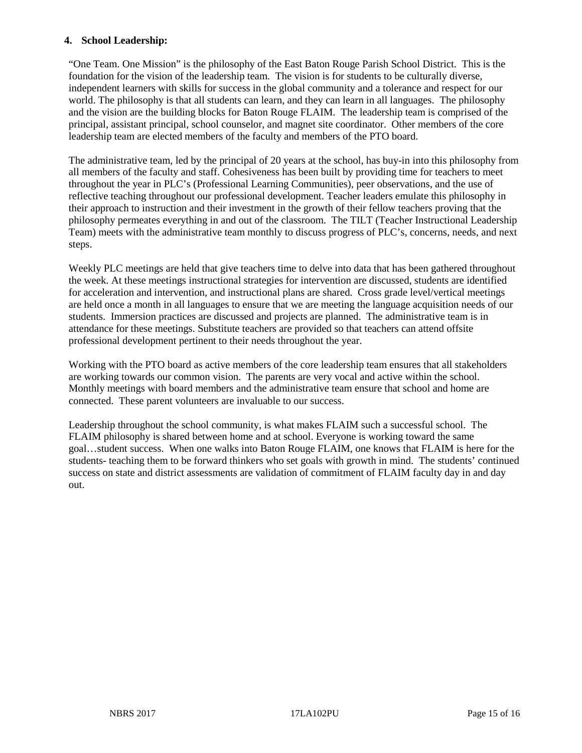#### **4. School Leadership:**

"One Team. One Mission" is the philosophy of the East Baton Rouge Parish School District. This is the foundation for the vision of the leadership team. The vision is for students to be culturally diverse, independent learners with skills for success in the global community and a tolerance and respect for our world. The philosophy is that all students can learn, and they can learn in all languages. The philosophy and the vision are the building blocks for Baton Rouge FLAIM. The leadership team is comprised of the principal, assistant principal, school counselor, and magnet site coordinator. Other members of the core leadership team are elected members of the faculty and members of the PTO board.

The administrative team, led by the principal of 20 years at the school, has buy-in into this philosophy from all members of the faculty and staff. Cohesiveness has been built by providing time for teachers to meet throughout the year in PLC's (Professional Learning Communities), peer observations, and the use of reflective teaching throughout our professional development. Teacher leaders emulate this philosophy in their approach to instruction and their investment in the growth of their fellow teachers proving that the philosophy permeates everything in and out of the classroom. The TILT (Teacher Instructional Leadership Team) meets with the administrative team monthly to discuss progress of PLC's, concerns, needs, and next steps.

Weekly PLC meetings are held that give teachers time to delve into data that has been gathered throughout the week. At these meetings instructional strategies for intervention are discussed, students are identified for acceleration and intervention, and instructional plans are shared. Cross grade level/vertical meetings are held once a month in all languages to ensure that we are meeting the language acquisition needs of our students. Immersion practices are discussed and projects are planned. The administrative team is in attendance for these meetings. Substitute teachers are provided so that teachers can attend offsite professional development pertinent to their needs throughout the year.

Working with the PTO board as active members of the core leadership team ensures that all stakeholders are working towards our common vision. The parents are very vocal and active within the school. Monthly meetings with board members and the administrative team ensure that school and home are connected. These parent volunteers are invaluable to our success.

Leadership throughout the school community, is what makes FLAIM such a successful school. The FLAIM philosophy is shared between home and at school. Everyone is working toward the same goal…student success. When one walks into Baton Rouge FLAIM, one knows that FLAIM is here for the students- teaching them to be forward thinkers who set goals with growth in mind. The students' continued success on state and district assessments are validation of commitment of FLAIM faculty day in and day out.